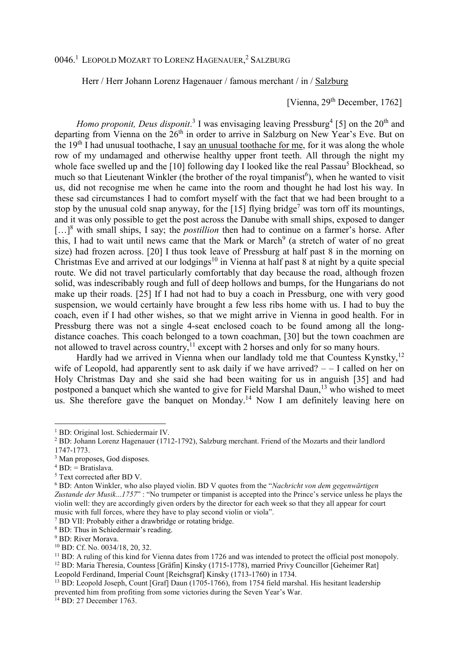## 0046.<sup>1</sup> LEOPOLD MOZART TO LORENZ HAGENAUER, <sup>2</sup> SALZBURG

Herr / Herr Johann Lorenz Hagenauer / famous merchant / in / Salzburg

## [Vienna, 29<sup>th</sup> December, 1762]

*Homo proponit, Deus disponit.*<sup>3</sup> I was envisaging leaving Pressburg<sup>4</sup> [5] on the 20<sup>th</sup> and departing from Vienna on the  $26<sup>th</sup>$  in order to arrive in Salzburg on New Year's Eve. But on the 19th I had unusual toothache, I say an unusual toothache for me, for it was along the whole row of my undamaged and otherwise healthy upper front teeth. All through the night my whole face swelled up and the [10] following day I looked like the real Passau<sup>5</sup> Blockhead, so much so that Lieutenant Winkler (the brother of the royal timpanist<sup>6</sup>), when he wanted to visit us, did not recognise me when he came into the room and thought he had lost his way. In these sad circumstances I had to comfort myself with the fact that we had been brought to a stop by the unusual cold snap anyway, for the  $[15]$  flying bridge<sup>7</sup> was torn off its mountings, and it was only possible to get the post across the Danube with small ships, exposed to danger [...]<sup>8</sup> with small ships, I say; the *postillion* then had to continue on a farmer's horse. After this, I had to wait until news came that the Mark or March<sup>9</sup> (a stretch of water of no great size) had frozen across. [20] I thus took leave of Pressburg at half past 8 in the morning on Christmas Eve and arrived at our lodgings $10$  in Vienna at half past 8 at night by a quite special route. We did not travel particularly comfortably that day because the road, although frozen solid, was indescribably rough and full of deep hollows and bumps, for the Hungarians do not make up their roads. [25] If I had not had to buy a coach in Pressburg, one with very good suspension, we would certainly have brought a few less ribs home with us. I had to buy the coach, even if I had other wishes, so that we might arrive in Vienna in good health. For in Pressburg there was not a single 4-seat enclosed coach to be found among all the longdistance coaches. This coach belonged to a town coachman, [30] but the town coachmen are not allowed to travel across country,  $11$  except with 2 horses and only for so many hours.

Hardly had we arrived in Vienna when our landlady told me that Countess Kynstky, $^{12}$ wife of Leopold, had apparently sent to ask daily if we have arrived?  $-$  I called on her on Holy Christmas Day and she said she had been waiting for us in anguish [35] and had postponed a banquet which she wanted to give for Field Marshal Daun,<sup>13</sup> who wished to meet us. She therefore gave the banquet on Monday.<sup>14</sup> Now I am definitely leaving here on

 $\overline{a}$ 

7 BD VII: Probably either a drawbridge or rotating bridge.

Leopold Ferdinand, Imperial Count [Reichsgraf] Kinsky (1713-1760) in 1734.

<sup>&</sup>lt;sup>1</sup> BD: Original lost. Schiedermair IV.

<sup>&</sup>lt;sup>2</sup> BD: Johann Lorenz Hagenauer (1712-1792), Salzburg merchant. Friend of the Mozarts and their landlord 1747-1773.

<sup>3</sup> Man proposes, God disposes.

<sup>4</sup> BD: = Bratislava.

<sup>5</sup> Text corrected after BD V.

<sup>6</sup> BD: Anton Winkler, who also played violin. BD V quotes from the "*Nachricht von dem gegenwärtigen Zustande der Musik*...*1757*" : "No trumpeter or timpanist is accepted into the Prince's service unless he plays the violin well: they are accordingly given orders by the director for each week so that they all appear for court music with full forces, where they have to play second violin or viola".

<sup>8</sup> BD: Thus in Schiedermair's reading.

<sup>&</sup>lt;sup>9</sup> BD: River Morava.

<sup>10</sup> BD: Cf. No. 0034/18, 20, 32.

<sup>&</sup>lt;sup>11</sup> BD: A ruling of this kind for Vienna dates from 1726 and was intended to protect the official post monopoly. <sup>12</sup> BD: Maria Theresia, Countess [Gräfin] Kinsky (1715-1778), married Privy Councillor [Geheimer Rat]

<sup>&</sup>lt;sup>13</sup> BD: Leopold Joseph, Count [Graf] Daun (1705-1766), from 1754 field marshal. His hesitant leadership prevented him from profiting from some victories during the Seven Year's War.

<sup>&</sup>lt;sup>14</sup> BD: 27 December 1763.